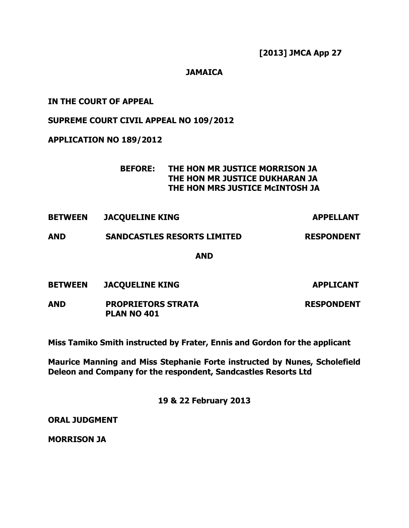[2013] JMCA App 27

# **JAMAICA**

# IN THE COURT OF APPEAL

### SUPREME COURT CIVIL APPEAL NO 109/2012

### APPLICATION NO 189/2012

# BEFORE: THE HON MR JUSTICE MORRISON JA THE HON MR JUSTICE DUKHARAN JA THE HON MRS JUSTICE McINTOSH JA

BETWEEN JACQUELINE KING APPELLANT

### AND SANDCASTLES RESORTS LIMITED RESPONDENT

#### AND

| <b>BETWEEN</b> | <b>JACOUELINE KING</b> |
|----------------|------------------------|
|                |                        |

**APPLICANT** 

AND PROPRIETORS STRATA RESPONDENT PLAN NO 401

Miss Tamiko Smith instructed by Frater, Ennis and Gordon for the applicant

Maurice Manning and Miss Stephanie Forte instructed by Nunes, Scholefield Deleon and Company for the respondent, Sandcastles Resorts Ltd

19 & 22 February 2013

ORAL JUDGMENT

MORRISON JA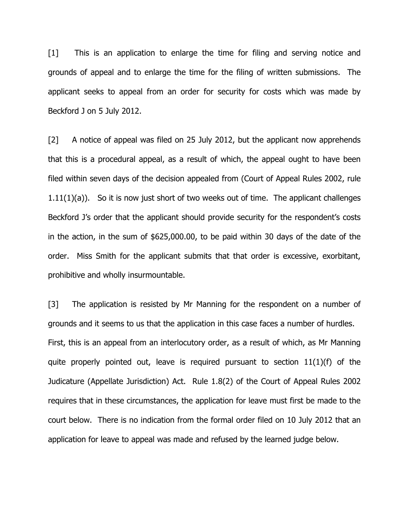[1] This is an application to enlarge the time for filing and serving notice and grounds of appeal and to enlarge the time for the filing of written submissions. The applicant seeks to appeal from an order for security for costs which was made by Beckford J on 5 July 2012.

[2] A notice of appeal was filed on 25 July 2012, but the applicant now apprehends that this is a procedural appeal, as a result of which, the appeal ought to have been filed within seven days of the decision appealed from (Court of Appeal Rules 2002, rule  $1.11(1)(a)$ ). So it is now just short of two weeks out of time. The applicant challenges Beckford J's order that the applicant should provide security for the respondent's costs in the action, in the sum of \$625,000.00, to be paid within 30 days of the date of the order. Miss Smith for the applicant submits that that order is excessive, exorbitant, prohibitive and wholly insurmountable.

[3] The application is resisted by Mr Manning for the respondent on a number of grounds and it seems to us that the application in this case faces a number of hurdles. First, this is an appeal from an interlocutory order, as a result of which, as Mr Manning quite properly pointed out, leave is required pursuant to section 11(1)(f) of the Judicature (Appellate Jurisdiction) Act. Rule 1.8(2) of the Court of Appeal Rules 2002 requires that in these circumstances, the application for leave must first be made to the court below. There is no indication from the formal order filed on 10 July 2012 that an application for leave to appeal was made and refused by the learned judge below.